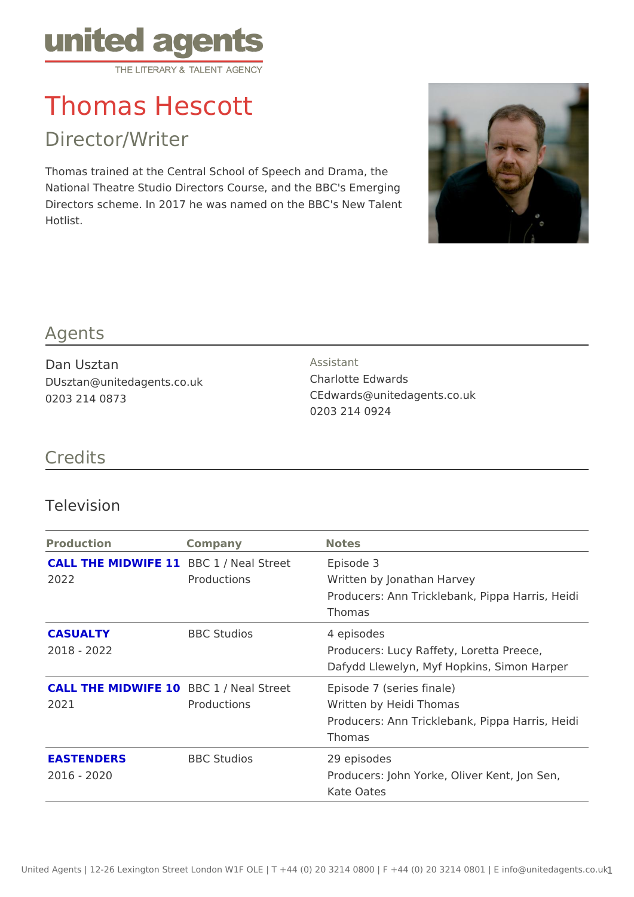# Thomas Hescott

Director/Writer

Thomas trained at the Central School of Speech and Drama, the National Theatre Studio Directors Course, and the BBC's Emerging Directors scheme. In 2017 he was named on the BBC's New Talent Hotlist.

#### Agents

| Dan Usztan                 | Assistant                   |
|----------------------------|-----------------------------|
| DUsztan@unitedagents.co.uk | Charlotte Edwards           |
| 0203 214 0873              | CEdwards@unitedagents.co.uk |
|                            | 0203 214 0924               |

### Credits

#### Television

| Production          | Company                                    | Notes                                                      |
|---------------------|--------------------------------------------|------------------------------------------------------------|
|                     | CALL THE MIDWIFBBC 1 / Neal StreeEpisode 3 |                                                            |
| 2022                | Productions                                | Written by Jonathan Harvey                                 |
|                     |                                            | Producers: Ann Tricklebank, Pippa Harri                    |
|                     |                                            | Thomas                                                     |
| CASUALTY            | <b>BBC</b> Studios                         | 4 episodes                                                 |
| $2018 - 2022$       |                                            | Producers: Lucy Raffety, Loretta Preece                    |
|                     |                                            | Dafydd Llewelyn, Myf Hopkins, Simon Ha                     |
|                     |                                            | CALL THE MIDWIFBB0 1 / Neal StreeHpisode 7 (series finale) |
| 2021<br>Productions |                                            | Written by Heidi Thomas                                    |
|                     |                                            | Producers: Ann Tricklebank, Pippa Harri                    |
|                     |                                            | Thomas                                                     |
| <b>EASTENDERS</b>   | <b>BBC</b> Studios                         | 29 episodes                                                |
| $2016 - 2020$       |                                            | Producers: John Yorke, Oliver Kent, Jon                    |
|                     |                                            | Kate Oates                                                 |
|                     |                                            |                                                            |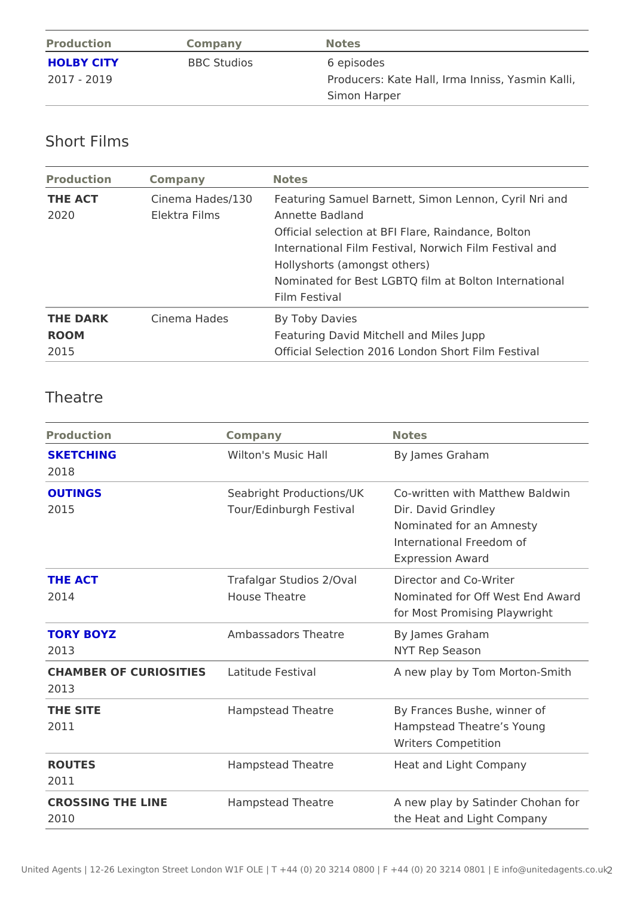| Production  | Companv            | Notes                                   |
|-------------|--------------------|-----------------------------------------|
| HOLBY CITY  | <b>BBC</b> Studios | 6 episodes                              |
| 2017 - 2019 |                    | Producers: Kate Hall, Irma Inniss, Yasm |
|             |                    | Simon Harper                            |

## Short Films

| Production  | Company       | Notes                                                                 |
|-------------|---------------|-----------------------------------------------------------------------|
| THE ACT     |               | Cinema Hades/1 <i>F</i> @ aturing Samuel Barnett, Simon Lennon, Cyril |
| 2020        | Elektra Films | Annette Badland                                                       |
|             |               | Official selection at BFI Flare, Raindance, Bolt                      |
|             |               | International Film Festival, Norwich Film Festiv                      |
|             |               | Hollyshorts (amongst others)                                          |
|             |               | Nominated for Best LGBTQ film at Bolton Intern                        |
|             |               | Film Festival                                                         |
| THE DARK    | Cinema Hades  | By Toby Davies                                                        |
| <b>ROOM</b> |               | Featuring David Mitchell and Miles Jupp                               |
| 2015        |               | Official Selection 2016 London Short Film Fest                        |

## Theatre

| Production                                   | Company                                  | Notes                                                                                                                            |
|----------------------------------------------|------------------------------------------|----------------------------------------------------------------------------------------------------------------------------------|
| <b>SKETCHING</b><br>2018                     | Wilton's Music Hall                      | By James Graham                                                                                                                  |
| <b>OUTINGS</b><br>2015                       | Tour/Edinburgh FestivDir. David Grindley | Seabright ProductionsCLbKwritten with Matthew Baldwi<br>Nominated for an Amnesty<br>International Freedom of<br>Expression Award |
| THE ACT<br>2014                              | House Theatre                            | Trafalgar Studios 2/O Dailrector and Co-Writer<br>Nominated for Off WA swta Edhd<br>for Most Promising Playwright                |
| TORY BOYZ<br>2013                            | Ambassadors Theatre By James Graham      | NYT Rep Season                                                                                                                   |
| CHAMBER OF CURIOSITLESitude Festival<br>2013 |                                          | A new play by Tom Morton-Smit                                                                                                    |
| THE SITE<br>2011                             | Hampstead Theatre                        | By Frances Bushe, winner of<br>Hampstead Theatre s Young<br>Writers Competition                                                  |
| <b>ROUTES</b><br>2011                        | Hampstead Theatre                        | Heat and Light Company                                                                                                           |
| CROSSING THE LINE<br>2010                    | Hampstead Theatre                        | A new play by Satinder Chohan<br>the Heat and Light Company                                                                      |